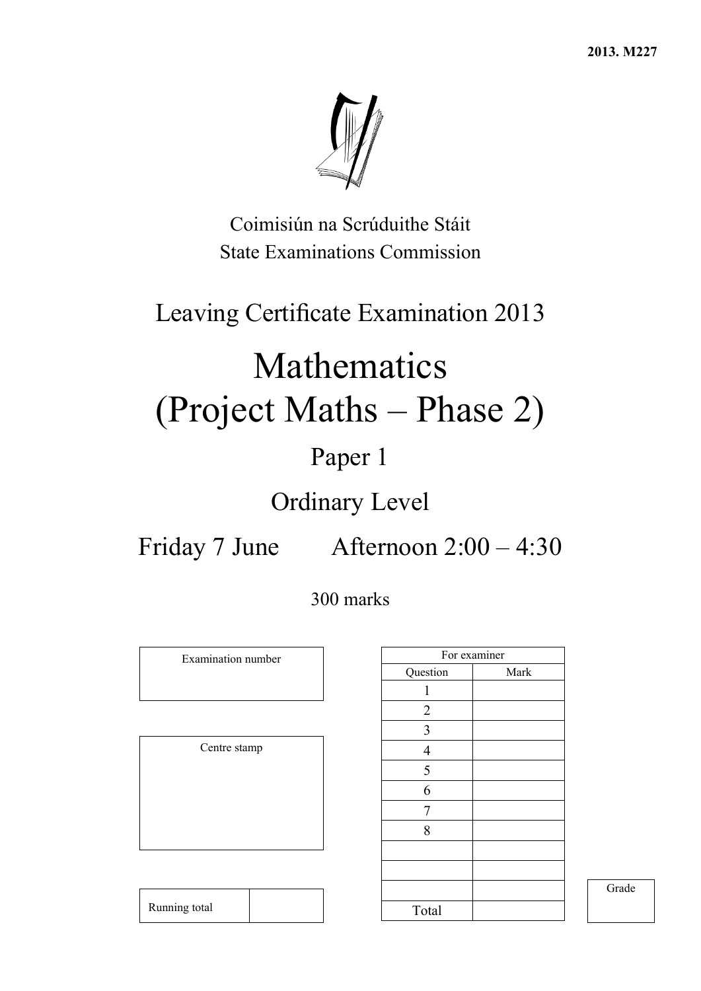**2013. M227** 



Coimisiún na Scrúduithe Stáit State Examinations Commission

## Leaving Certificate Examination 2013

# Mathematics (Project Maths – Phase 2)

## Paper 1

## Ordinary Level

Friday 7 June Afternoon 2:00 – 4:30

## 300 marks

Examination number

Centre stamp

|                          | For examiner |
|--------------------------|--------------|
| Question                 | Mark         |
| 1                        |              |
| $\overline{c}$           |              |
| $\overline{3}$           |              |
| $\overline{\mathcal{A}}$ |              |
| 5                        |              |
| 6                        |              |
| 7                        |              |
| 8                        |              |
|                          |              |
|                          |              |
|                          |              |
| Total                    |              |

Grade

Running total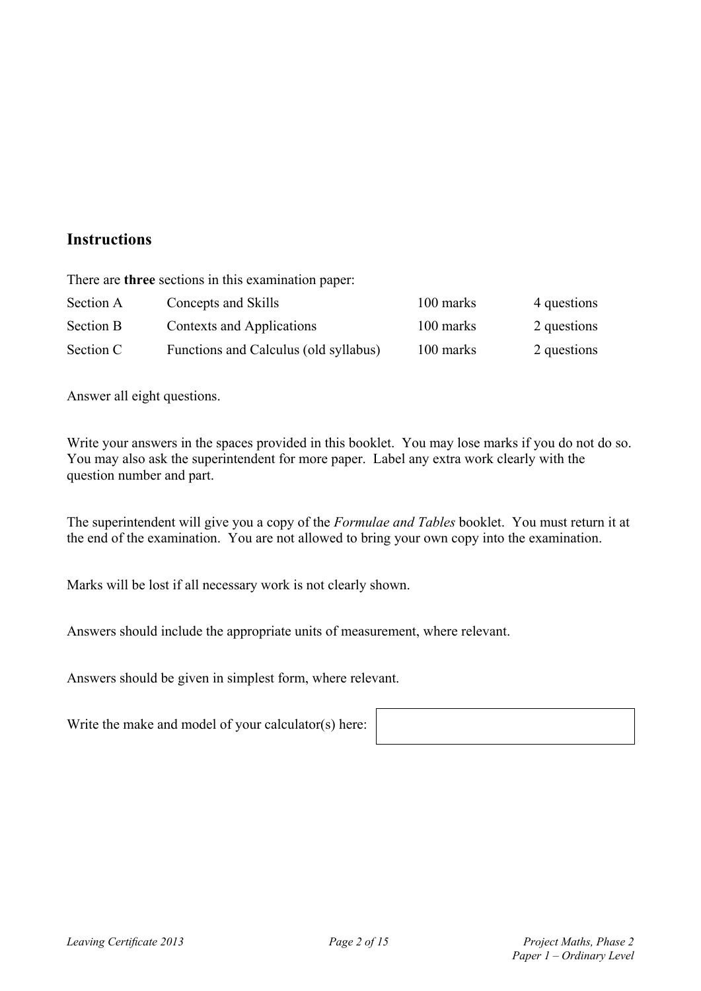## **Instructions**

There are **three** sections in this examination paper:

| Section A        | Concepts and Skills                   | 100 marks | 4 questions |
|------------------|---------------------------------------|-----------|-------------|
| <b>Section B</b> | Contexts and Applications             | 100 marks | 2 questions |
| Section C        | Functions and Calculus (old syllabus) | 100 marks | 2 questions |

Answer all eight questions.

Write your answers in the spaces provided in this booklet. You may lose marks if you do not do so. You may also ask the superintendent for more paper. Label any extra work clearly with the question number and part.

The superintendent will give you a copy of the *Formulae and Tables* booklet. You must return it at the end of the examination. You are not allowed to bring your own copy into the examination.

Marks will be lost if all necessary work is not clearly shown.

Answers should include the appropriate units of measurement, where relevant.

Answers should be given in simplest form, where relevant.

Write the make and model of your calculator(s) here: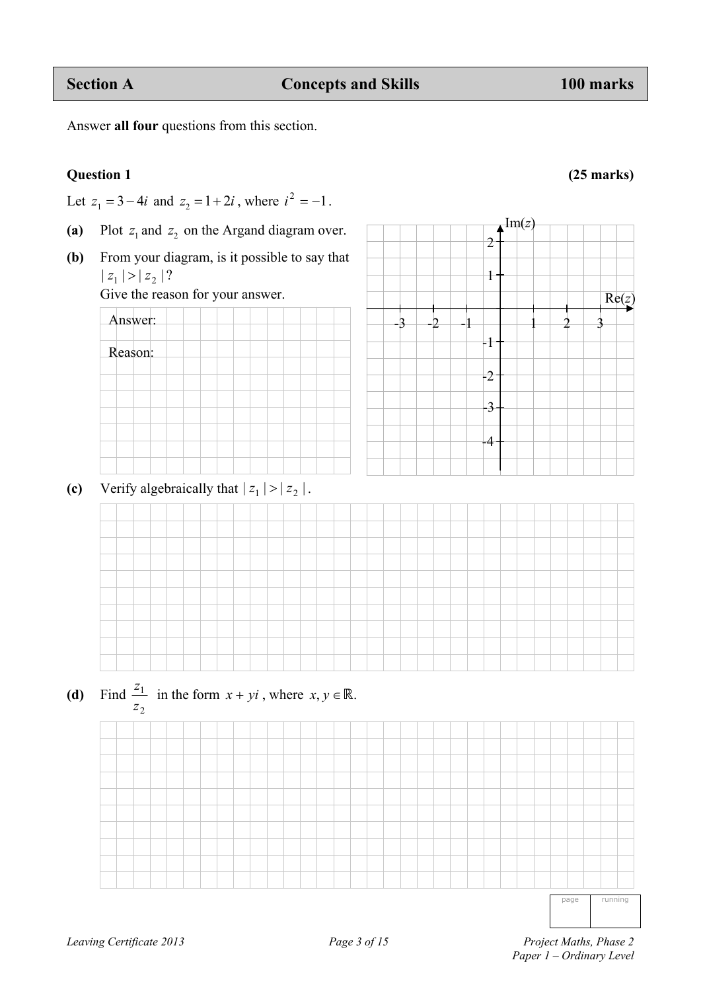Answer:

Reason:

(a) Plot  $z_1$  and  $z_2$  on the Argand diagram over.

Answer **all four** questions from this section.

**(b)** From your diagram, is it possible to say that  $| z_1 | > | z_2 | ?$ 

Give the reason for your answer.

(c) Verify algebraically that  $|z_1| > |z_2|$ .



page running

**Question 1 (25 marks)** 

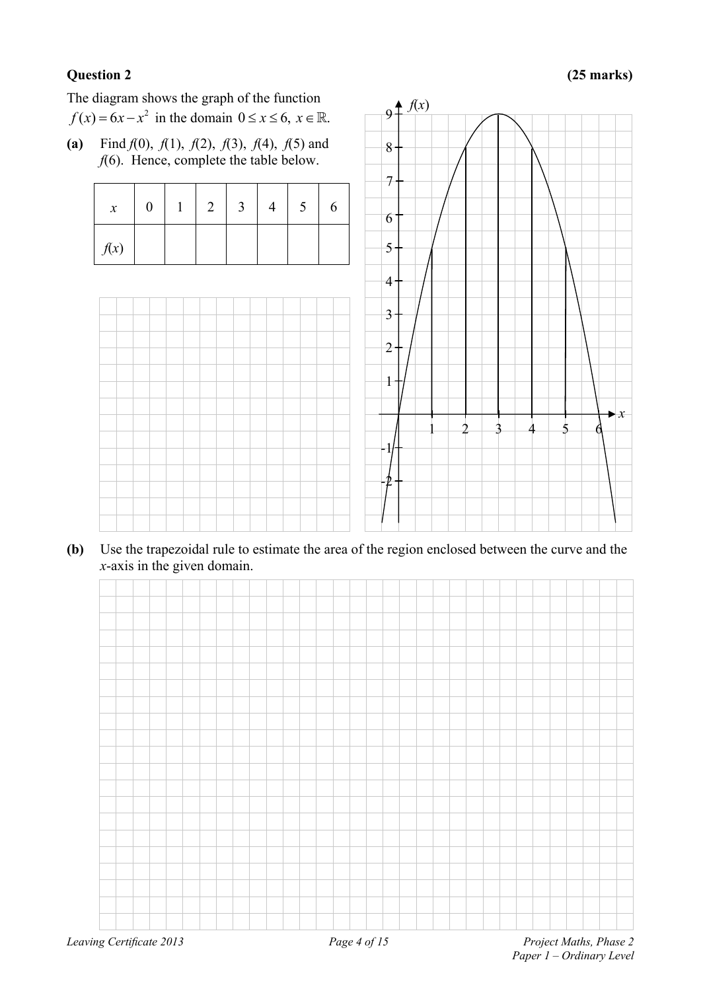## **Question 2 (25 marks)**

The diagram shows the graph of the function  $f(x) = 6x - x^2$  in the domain  $0 \le x \le 6$ ,  $x \in \mathbb{R}$ .

**(a)** Find *f*(0), *f*(1), *f*(2), *f*(3), *f*(4), *f*(5) and *f*(6). Hence, complete the table below.

| $\boldsymbol{x}$ | $\theta$ | 2 | $\overline{3}$ | C | 6 |
|------------------|----------|---|----------------|---|---|
| f(x)             |          |   |                |   |   |



**(b)** Use the trapezoidal rule to estimate the area of the region enclosed between the curve and the *x*-axis in the given domain.

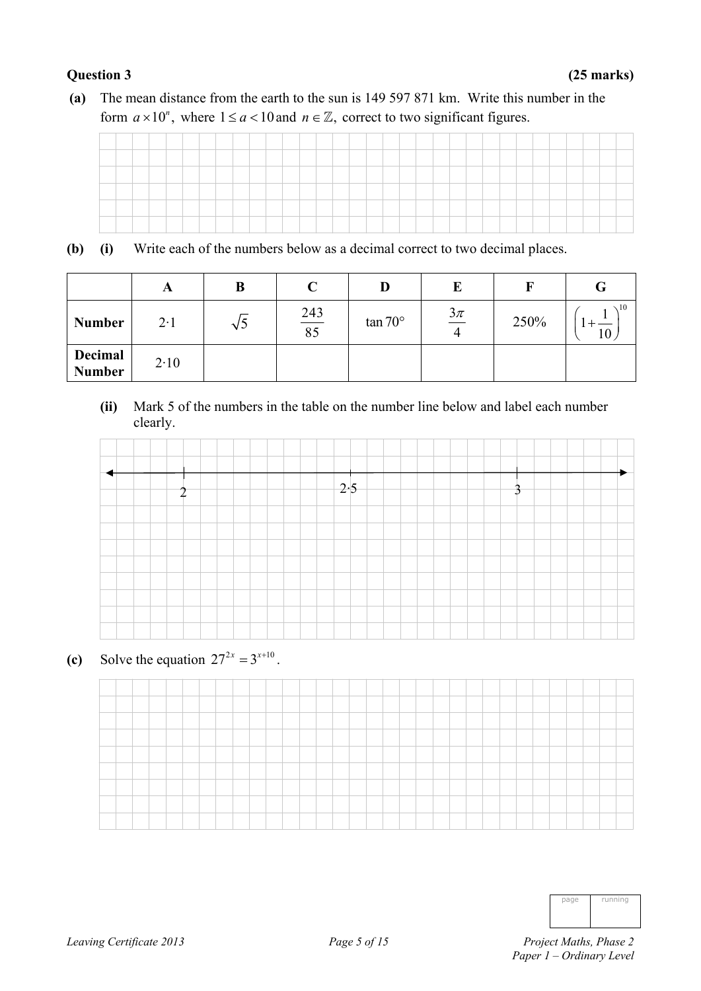**(a)** The mean distance from the earth to the sun is 149 597 871 km. Write this number in the form  $a \times 10^n$ , where  $1 \le a < 10$  and  $n \in \mathbb{Z}$ , correct to two significant figures.

**(b) (i)** Write each of the numbers below as a decimal correct to two decimal places.

|                          | A           | B      | $\curvearrowright$ | IJ              | E                |      | G               |
|--------------------------|-------------|--------|--------------------|-----------------|------------------|------|-----------------|
| <b>Number</b>            | $2 \cdot 1$ | $\vee$ | $\frac{243}{85}$   | $\tan 70^\circ$ | $\frac{3\pi}{4}$ | 250% | $\sim$ 10<br>10 |
| Decimal<br><b>Number</b> | 2.10        |        |                    |                 |                  |      |                 |

 **(ii)** Mark 5 of the numbers in the table on the number line below and label each number clearly.



**(c)** Solve the equation  $27^{2x} = 3^{x+10}$ .



| nage | running |
|------|---------|
|      |         |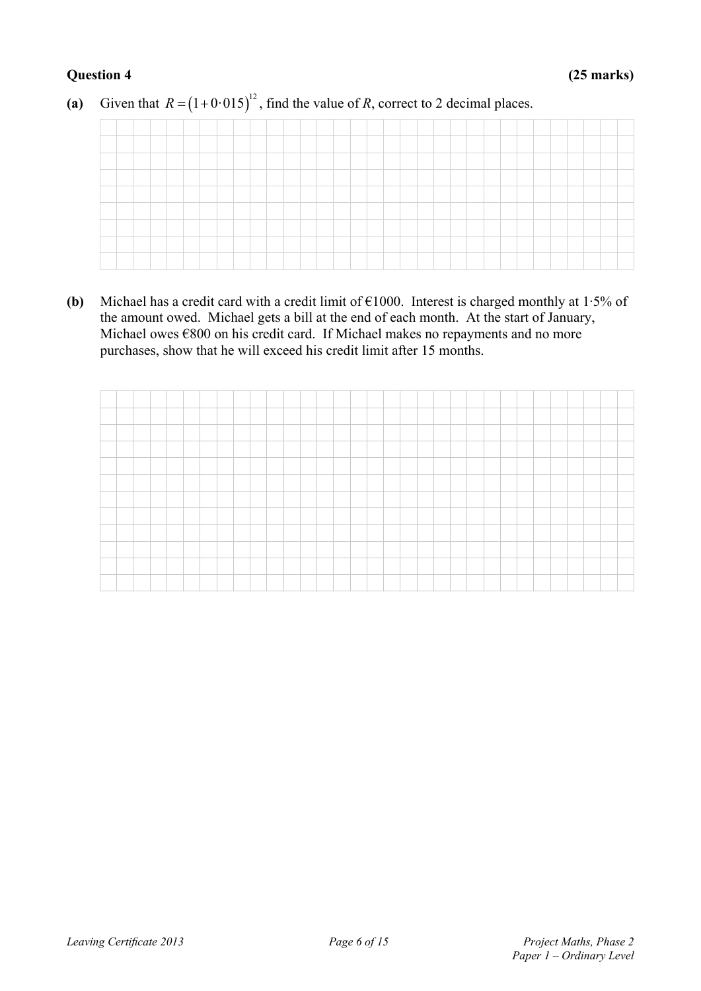(a) Given that  $R = (1 + 0.015)^{12}$ , find the value of *R*, correct to 2 decimal places.

**(b)** Michael has a credit card with a credit limit of €1000. Interest is charged monthly at 1·5% of the amount owed. Michael gets a bill at the end of each month. At the start of January, Michael owes €800 on his credit card. If Michael makes no repayments and no more purchases, show that he will exceed his credit limit after 15 months.

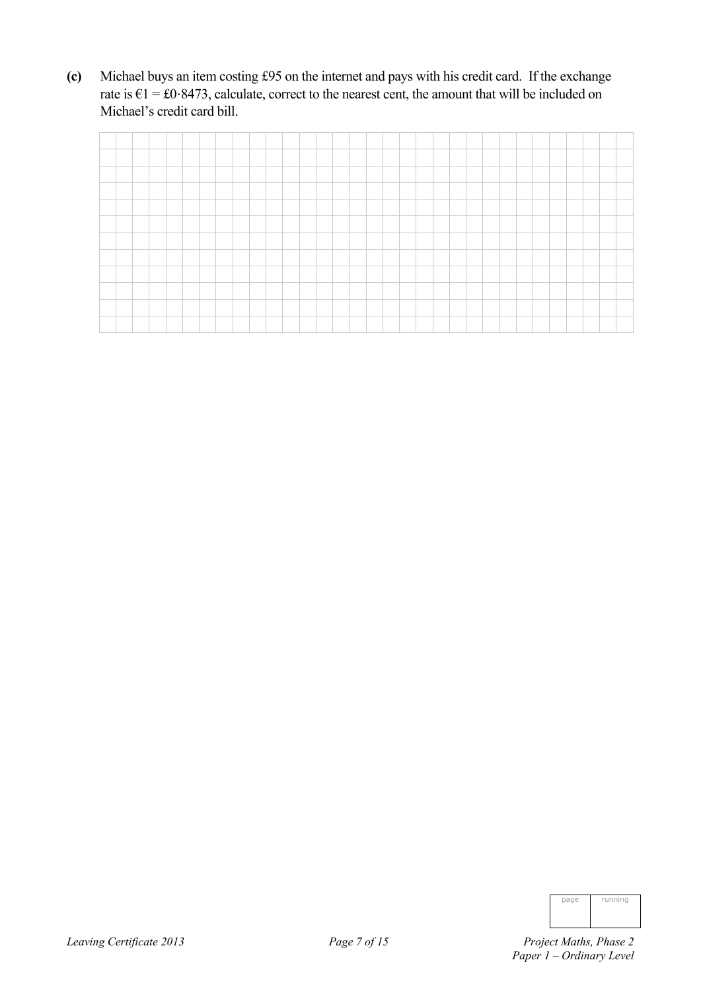**(c)** Michael buys an item costing £95 on the internet and pays with his credit card. If the exchange rate is  $E1 = £0.8473$ , calculate, correct to the nearest cent, the amount that will be included on Michael's credit card bill.

| nage | running |
|------|---------|
|      |         |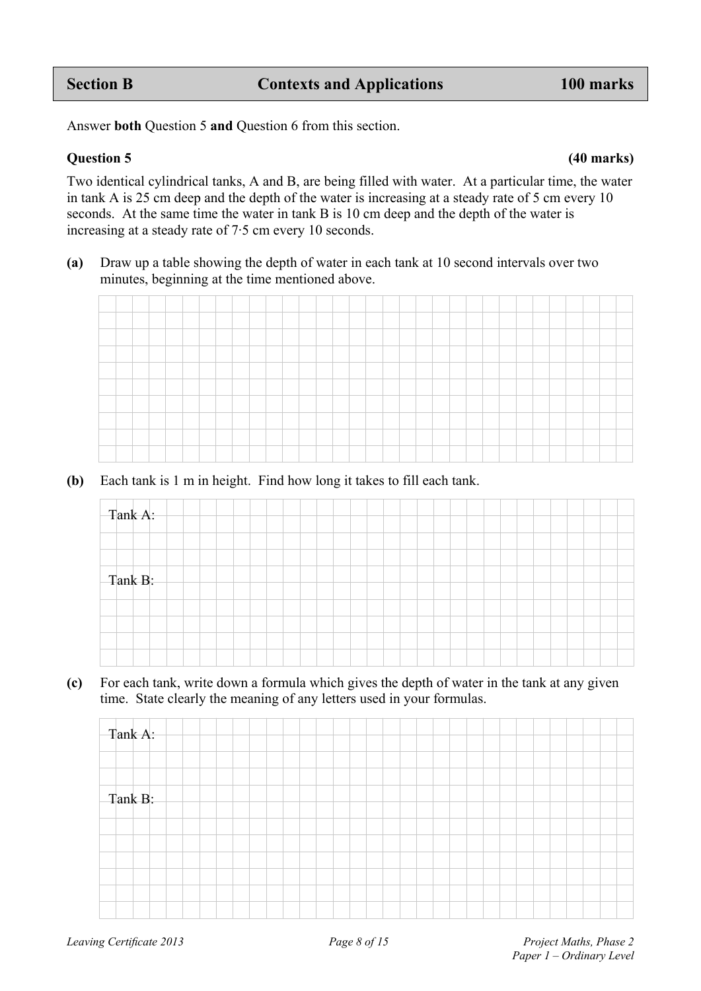Answer **both** Question 5 **and** Question 6 from this section.

### **Question 5 (40 marks)**

Two identical cylindrical tanks, A and B, are being filled with water. At a particular time, the water in tank A is 25 cm deep and the depth of the water is increasing at a steady rate of 5 cm every 10 seconds. At the same time the water in tank B is 10 cm deep and the depth of the water is increasing at a steady rate of 7·5 cm every 10 seconds.

**(a)** Draw up a table showing the depth of water in each tank at 10 second intervals over two minutes, beginning at the time mentioned above.

**(b)** Each tank is 1 m in height. Find how long it takes to fill each tank.



**(c)** For each tank, write down a formula which gives the depth of water in the tank at any given time. State clearly the meaning of any letters used in your formulas.

| Tank A: |  |  |  |  |  |  |  |  |  |  |  |  |
|---------|--|--|--|--|--|--|--|--|--|--|--|--|
|         |  |  |  |  |  |  |  |  |  |  |  |  |
| Tank B: |  |  |  |  |  |  |  |  |  |  |  |  |
|         |  |  |  |  |  |  |  |  |  |  |  |  |
|         |  |  |  |  |  |  |  |  |  |  |  |  |
|         |  |  |  |  |  |  |  |  |  |  |  |  |
|         |  |  |  |  |  |  |  |  |  |  |  |  |
|         |  |  |  |  |  |  |  |  |  |  |  |  |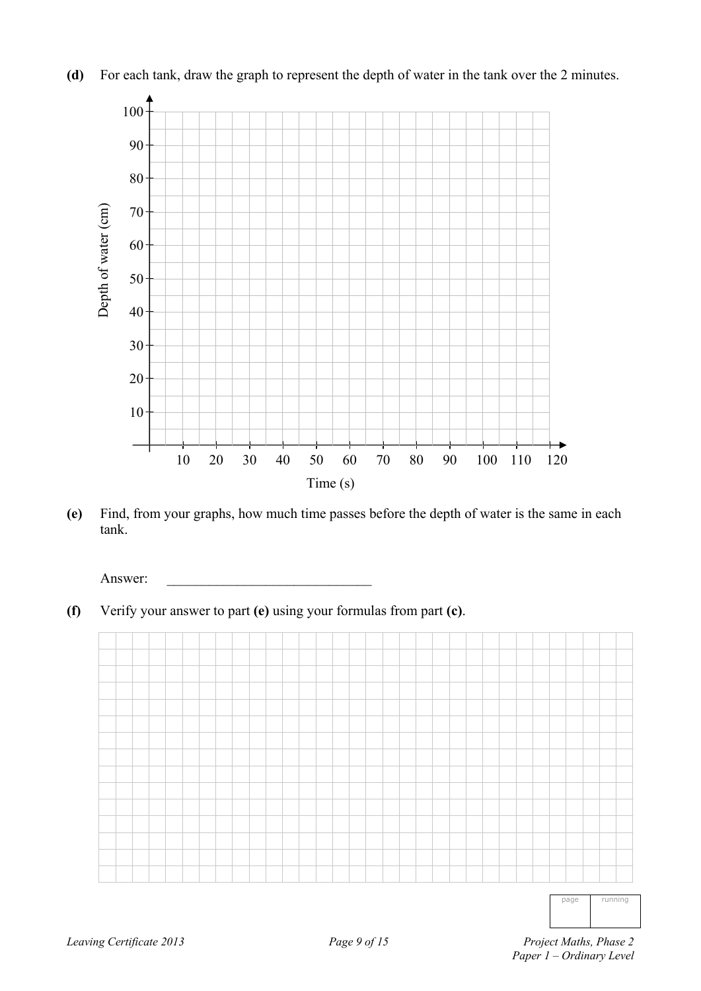



**(e)** Find, from your graphs, how much time passes before the depth of water is the same in each tank.

Answer:

**(f)** Verify your answer to part **(e)** using your formulas from part **(c)**.



page running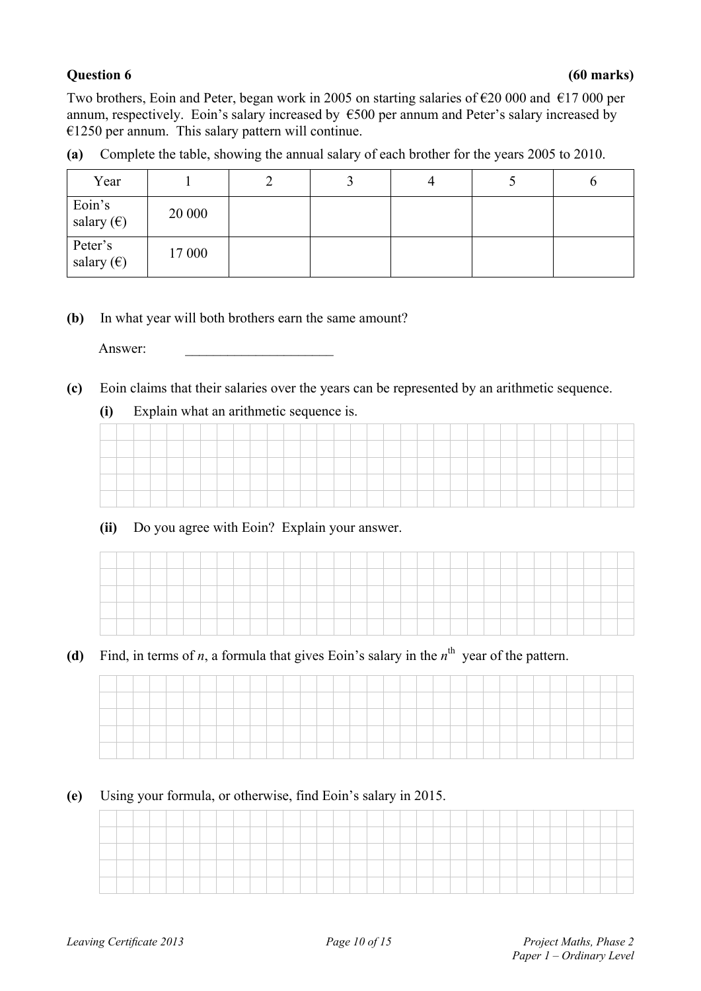Two brothers, Eoin and Peter, began work in 2005 on starting salaries of €20 000 and €17 000 per annum, respectively. Eoin's salary increased by  $\epsilon$ 500 per annum and Peter's salary increased by  $€1250$  per annum. This salary pattern will continue.

|  |  | (a) Complete the table, showing the annual salary of each brother for the years 2005 to 2010. |  |  |  |  |  |  |
|--|--|-----------------------------------------------------------------------------------------------|--|--|--|--|--|--|
|  |  |                                                                                               |  |  |  |  |  |  |
|  |  |                                                                                               |  |  |  |  |  |  |

| Year                           |        |  | 4 | O |
|--------------------------------|--------|--|---|---|
| Eoin's<br>salary $(\epsilon)$  | 20 000 |  |   |   |
| Peter's<br>salary $(\epsilon)$ | 17 000 |  |   |   |

### **(b)** In what year will both brothers earn the same amount?

Answer:

**(c)** Eoin claims that their salaries over the years can be represented by an arithmetic sequence.

### **(i)** Explain what an arithmetic sequence is.

| ___ |  |  |  |  |  |  |  |  |  |  |  |  |  |  |  |  |
|-----|--|--|--|--|--|--|--|--|--|--|--|--|--|--|--|--|
|     |  |  |  |  |  |  |  |  |  |  |  |  |  |  |  |  |
|     |  |  |  |  |  |  |  |  |  |  |  |  |  |  |  |  |
|     |  |  |  |  |  |  |  |  |  |  |  |  |  |  |  |  |

## **(ii)** Do you agree with Eoin? Explain your answer.

(d) Find, in terms of *n*, a formula that gives Eoin's salary in the  $n^{\text{th}}$  year of the pattern.

### **(e)** Using your formula, or otherwise, find Eoin's salary in 2015.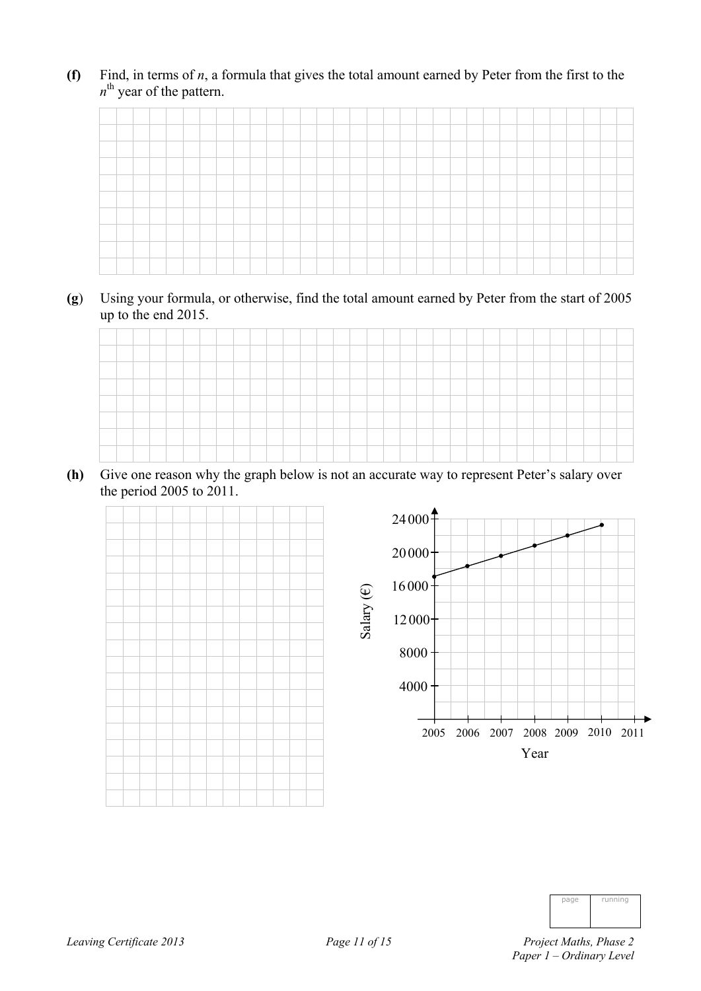**(f)** Find, in terms of *n*, a formula that gives the total amount earned by Peter from the first to the  $n^{\text{th}}$  year of the pattern.

**(g**) Using your formula, or otherwise, find the total amount earned by Peter from the start of 2005 up to the end 2015.



**(h)** Give one reason why the graph below is not an accurate way to represent Peter's salary over the period 2005 to 2011.



| page | running |
|------|---------|
|      |         |
|      |         |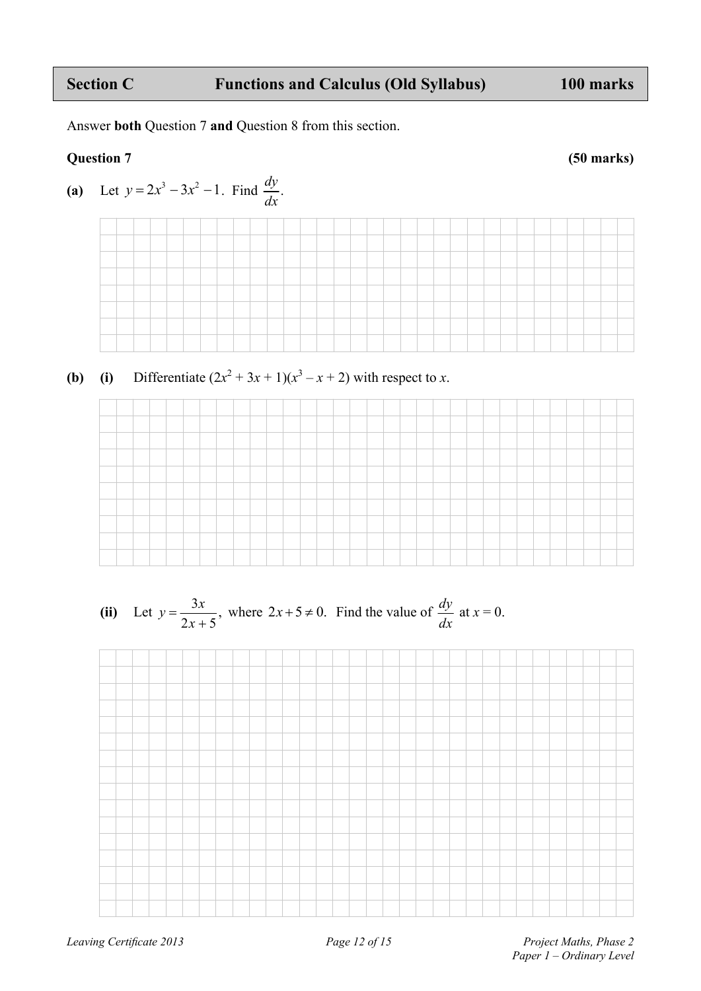## Section C **Functions and Calculus (Old Syllabus)** 100 marks

Answer **both** Question 7 **and** Question 8 from this section.

## **Question 7 (50 marks)**



**(b)** (i) Differentiate 
$$
(2x^2 + 3x + 1)(x^3 - x + 2)
$$
 with respect to x.



(ii) Let 
$$
y = \frac{3x}{2x+5}
$$
, where  $2x+5 \neq 0$ . Find the value of  $\frac{dy}{dx}$  at  $x = 0$ .

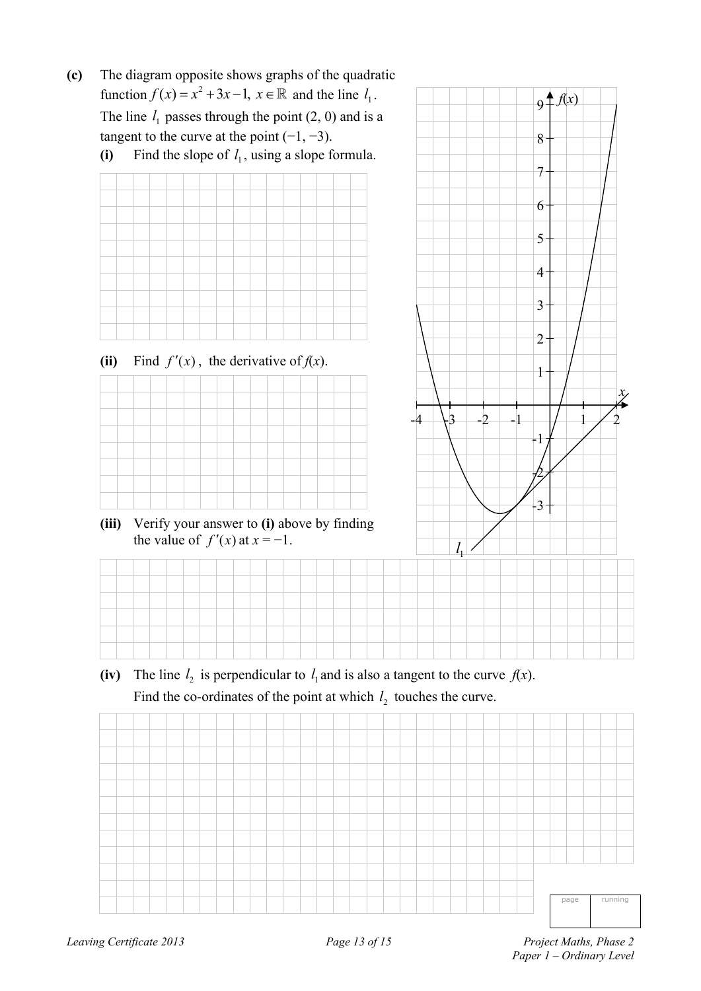- **(c)** The diagram opposite shows graphs of the quadratic function  $f(x) = x^2 + 3x - 1$ ,  $x \in \mathbb{R}$  and the line  $l_1$ . The line  $l_1$  passes through the point  $(2, 0)$  and is a tangent to the curve at the point  $(-1, -3)$ .
- (i) Find the slope of  $l_1$ , using a slope formula.



(ii) Find  $f'(x)$ , the derivative of  $f(x)$ .







(iv) The line  $l_2$  is perpendicular to  $l_1$  and is also a tangent to the curve  $f(x)$ .

Find the co-ordinates of the point at which  $l_2$  touches the curve.

page running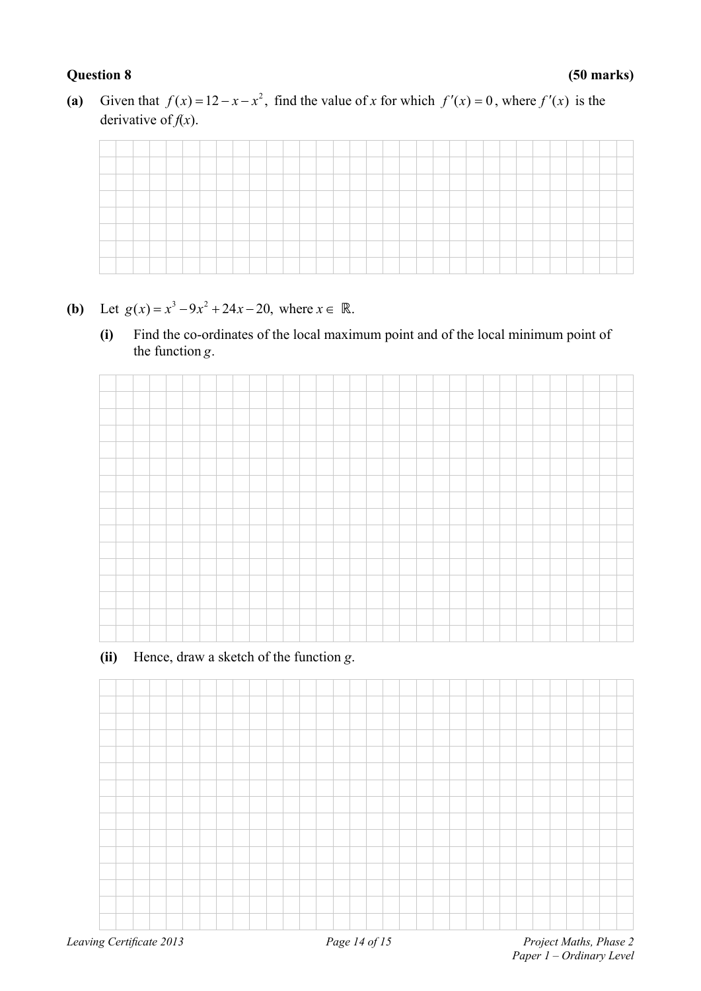(a) Given that  $f(x) = 12 - x - x^2$ , find the value of *x* for which  $f'(x) = 0$ , where  $f'(x)$  is the derivative of  $f(x)$ .

| __                              |       |  |        |  |  |  |  |  |    |  |  |  |  |  |  |  |  |
|---------------------------------|-------|--|--------|--|--|--|--|--|----|--|--|--|--|--|--|--|--|
| the contract of the contract of | _____ |  | ______ |  |  |  |  |  |    |  |  |  |  |  |  |  |  |
|                                 |       |  |        |  |  |  |  |  |    |  |  |  |  |  |  |  |  |
|                                 |       |  |        |  |  |  |  |  |    |  |  |  |  |  |  |  |  |
| __                              |       |  |        |  |  |  |  |  |    |  |  |  |  |  |  |  |  |
|                                 |       |  |        |  |  |  |  |  | -- |  |  |  |  |  |  |  |  |
|                                 |       |  |        |  |  |  |  |  |    |  |  |  |  |  |  |  |  |

- **(b)** Let  $g(x) = x^3 9x^2 + 24x 20$ , where  $x \in \mathbb{R}$ .
	- **(i)** Find the co-ordinates of the local maximum point and of the local minimum point of the function *g*.

 **(ii)** Hence, draw a sketch of the function *g*.

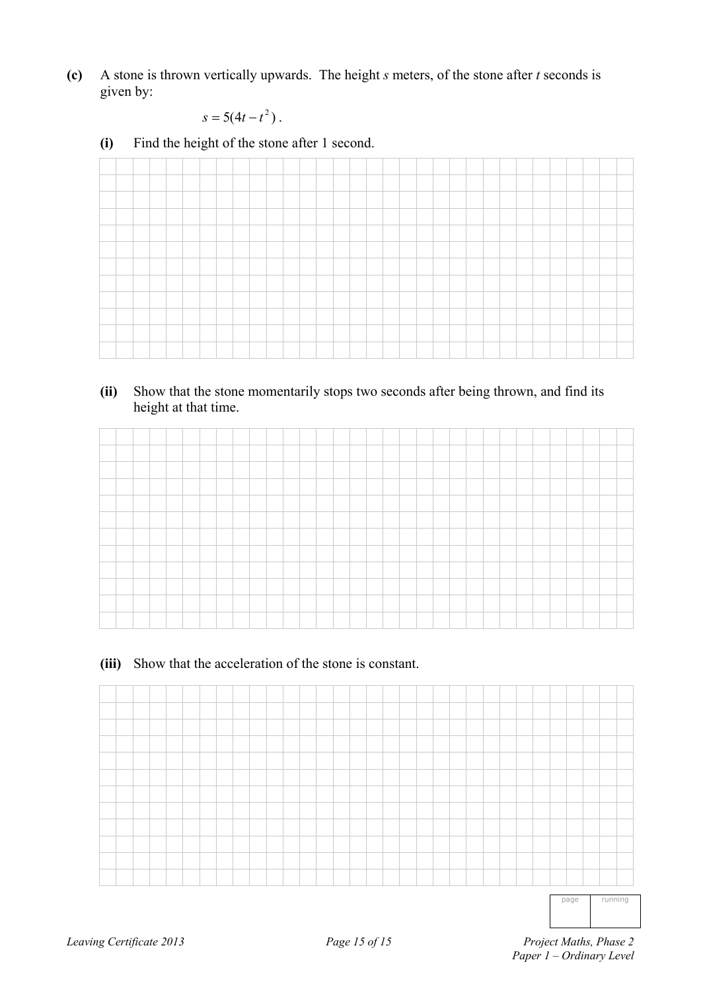**(c)** A stone is thrown vertically upwards. The height *s* meters, of the stone after *t* seconds is given by:

$$
s=5(4t-t^2).
$$

**(i)** Find the height of the stone after 1 second.

**(ii)** Show that the stone momentarily stops two seconds after being thrown, and find its height at that time.

### **(iii)** Show that the acceleration of the stone is constant.



page running